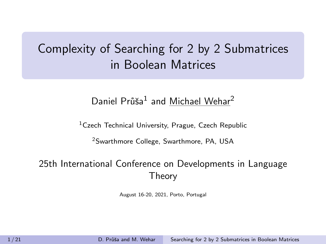# <span id="page-0-0"></span>Complexity of Searching for 2 by 2 Submatrices in Boolean Matrices

## Daniel Průša<sup>1</sup> and Michael Wehar<sup>2</sup>

<sup>1</sup>Czech Technical University, Prague, Czech Republic

<sup>2</sup>Swarthmore College, Swarthmore, PA, USA

### 25th International Conference on Developments in Language Theory

August 16-20, 2021, Porto, Portugal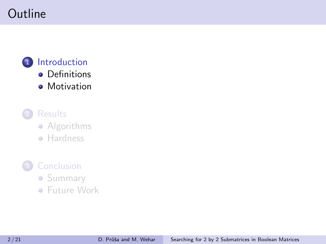# <span id="page-1-0"></span>Outline

## 1 [Introduction](#page-1-0) **•** [Definitions](#page-2-0) **•** [Motivation](#page-4-0)

**[Results](#page-10-0) •** [Algorithms](#page-11-0)

**• [Hardness](#page-13-0)** 

## **[Conclusion](#page-17-0)**

- **[Summary](#page-18-0)**
- [Future Work](#page-19-0)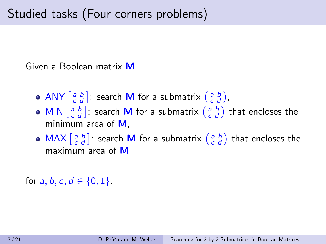<span id="page-2-0"></span>Given a Boolean matrix M

- ANY  $\begin{bmatrix} a & b \\ c & d \end{bmatrix}$ : search **M** for a submatrix  $\begin{bmatrix} a & b \\ c & d \end{bmatrix}$ ,
- MIN  $\begin{bmatrix} a & b \\ c & d \end{bmatrix}$ : search **M** for a submatrix  $\begin{bmatrix} a & b \\ c & d \end{bmatrix}$  that encloses the minimum area of M.
- $\textsf{MAX} \left[ \begin{smallmatrix} a & b \ c & d \end{smallmatrix} \right]$ : search **M** for a submatrix  $\left( \begin{smallmatrix} a & b \ c & d \end{smallmatrix} \right)$  that encloses the maximum area of M

for  $a, b, c, d \in \{0, 1\}$ .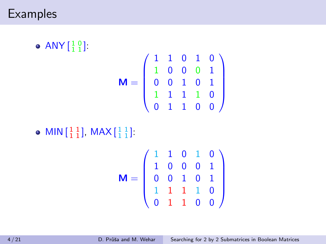## **Examples**

 $\mathsf{ANY}\left[\begin{smallmatrix} 1 & 0\\ 1 & 1 \end{smallmatrix}\right]$ 

$$
\mathbf{M} = \left( \begin{array}{cccc} 1 & 1 & 0 & 1 & 0 \\ 1 & 0 & 0 & 0 & 1 \\ 0 & 0 & 1 & 0 & 1 \\ 1 & 1 & 1 & 1 & 0 \\ 0 & 1 & 1 & 0 & 0 \end{array} \right)
$$

MIN  $\begin{bmatrix} 1 & 1 \\ 1 & 1 \end{bmatrix}$ , MAX  $\begin{bmatrix} 1 & 1 \\ 1 & 1 \end{bmatrix}$ .

$$
\mathbf{M} = \left( \begin{array}{cccc} 1 & 1 & 0 & 1 & 0 \\ 1 & 0 & 0 & 0 & 1 \\ 0 & 0 & 1 & 0 & 1 \\ 1 & 1 & 1 & 1 & 0 \\ 0 & 1 & 1 & 0 & 0 \end{array} \right)
$$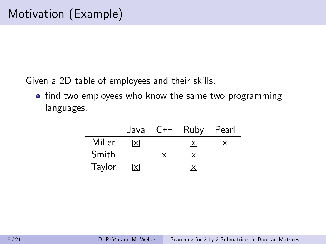<span id="page-4-0"></span>Given a 2D table of employees and their skills,

• find two employees who know the same two programming languages.

|        |     |          | Java C++ Ruby Pearl     |  |
|--------|-----|----------|-------------------------|--|
| Miller | lxl |          | ΙxΙ                     |  |
| Smith  |     | $\times$ |                         |  |
| Taylor | X   |          | $\overline{\mathsf{x}}$ |  |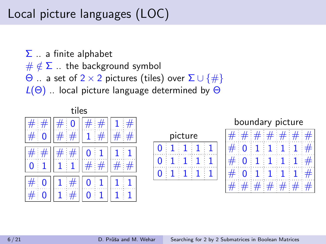# Local picture languages (LOC)

 $\Sigma$  ... a finite alphabet

 $\#\notin \Sigma$  ... the background symbol

 $\Theta$  .. a set of 2 × 2 pictures (tiles) over Σ ∪ {#}

 $L(\Theta)$  .. local picture language determined by  $\Theta$ 

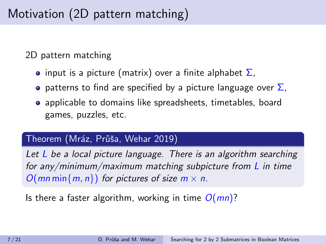2D pattern matching

- input is a picture (matrix) over a finite alphabet  $\Sigma$ ,
- **•** patterns to find are specified by a picture language over  $\Sigma$ ,
- applicable to domains like spreadsheets, timetables, board games, puzzles, etc.

### Theorem (Mráz, Průša, Wehar 2019)

Let  $L$  be a local picture language. There is an algorithm searching for any/minimum/maximum matching subpicture from  $\bf{L}$  in time  $O(mn\min\{m, n\})$  for pictures of size  $m \times n$ .

Is there a faster algorithm, working in time  $O(mn)$ ?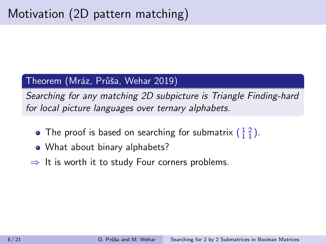### Theorem (Mráz, Průša, Wehar 2019)

Searching for any matching 2D subpicture is Triangle Finding-hard for local picture languages over ternary alphabets.

- The proof is based on searching for submatrix  $(\frac{1}{1}\frac{2}{1})$ .
- What about binary alphabets?
- $\Rightarrow$  It is worth it to study Four corners problems.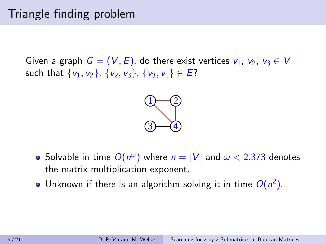# Triangle finding problem

Given a graph  $G = (V, E)$ , do there exist vertices  $v_1, v_2, v_3 \in V$ such that  $\{v_1, v_2\}$ ,  $\{v_2, v_3\}$ ,  $\{v_3, v_1\} \in E$ ?



- Solvable in time  $O(n^{\omega})$  where  $n = |V|$  and  $\omega < 2.373$  denotes the matrix multiplication exponent.
- Unknown if there is an algorithm solving it in time  $O(n^2)$ .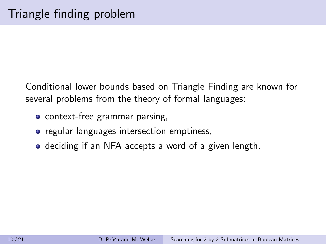Conditional lower bounds based on Triangle Finding are known for several problems from the theory of formal languages:

- context-free grammar parsing,
- regular languages intersection emptiness,
- deciding if an NFA accepts a word of a given length.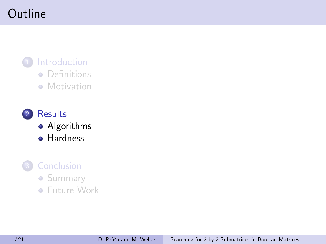# <span id="page-10-0"></span>Outline

## 1 [Introduction](#page-1-0) • [Definitions](#page-2-0) **• [Motivation](#page-4-0)**

2 [Results](#page-10-0) **•** [Algorithms](#page-11-0) **•** [Hardness](#page-13-0)

### **[Conclusion](#page-17-0)**

- **[Summary](#page-18-0)**
- [Future Work](#page-19-0)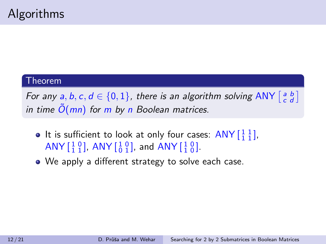#### <span id="page-11-0"></span>Theorem

For any  $a, b, c, d \in \{0, 1\}$ , there is an algorithm solving ANY  $\begin{bmatrix} a & b \\ c & d \end{bmatrix}$ in time  $\tilde{O}(mn)$  for m by n Boolean matrices.

- It is sufficient to look at only four cases:  $ANY \begin{bmatrix} 1 & 1 \\ 1 & 1 \end{bmatrix}$ , ANY  $\begin{bmatrix} 1 & 0 \\ 1 & 1 \end{bmatrix}$ , ANY  $\begin{bmatrix} 1 & 0 \\ 0 & 1 \end{bmatrix}$ , and ANY  $\begin{bmatrix} 1 & 0 \\ 1 & 0 \end{bmatrix}$ .
- We apply a different strategy to solve each case.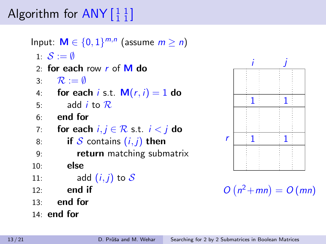# Algorithm for  $\mathsf{ANY}\left[\begin{smallmatrix} 1 & 1\ 1 & 1 \end{smallmatrix}\right]$

Input:  $\mathsf{M} \in \{0,1\}^{m,n}$  (assume  $m \geq n$ ) 1:  $S := \emptyset$ 2: for each row  $r$  of  $M$  do 3:  $\mathcal{R} := \emptyset$ 4: for each i s.t.  $M(r, i) = 1$  do  $5$ : add *i* to  $\overline{R}$ . 6: end for 7: for each  $i, j \in \mathcal{R}$  s.t.  $i < j$  do 8: if S contains  $(i, j)$  then 9: **return** matching submatrix  $10:$  else 11: add  $(i, j)$  to  $\mathcal S$  $12:$  end if 13: end for 14: end for



 $O(n^2 + mn) = O(mn)$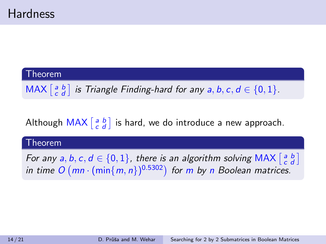#### <span id="page-13-0"></span>Theorem

 $\textsf{MAX} \left[ \begin{smallmatrix} a & b \ c & d \end{smallmatrix} \right]$  is Triangle Finding-hard for any  $a, b, c, d \in \{0, 1\}.$ 

Although  $\mathsf{MAX}\left[ \begin{smallmatrix} a & b \ c & d \end{smallmatrix} \right]$  is hard, we do introduce a new approach.

#### Theorem

For any  $a, b, c, d \in \{0, 1\}$ , there is an algorithm solving MAX  $\begin{bmatrix} a & b \\ c & d \end{bmatrix}$ in time  $O(mn \cdot (min{m, n})^{0.5302})$  for m by n Boolean matrices.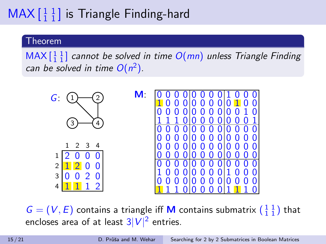# $\mathsf{MAX}\left[\begin{smallmatrix} 1 & 1 \\ 1 & 1 \end{smallmatrix}\right]$  is Triangle Finding-hard

#### Theorem

 $MAX \begin{bmatrix} 1 & 1 \\ 1 & 1 \end{bmatrix}$  cannot be solved in time  $O(mn)$  unless Triangle Finding can be solved in time  $O(n^2)$ .



 $G = (V, E)$  contains a triangle iff **M** contains submatrix  $\begin{pmatrix} 1 & 1 \\ 1 & 1 \end{pmatrix}$  that encloses area of at least  $3|V|^2$  entries.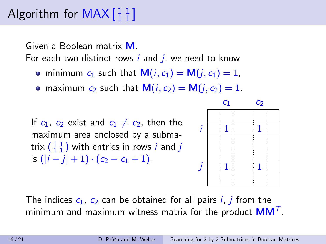# Algorithm for  $\mathsf{MAX}\left[ \begin{smallmatrix} 1 & 1 \\ 1 & 1 \end{smallmatrix} \right]$

Given a Boolean matrix M.

For each two distinct rows  $i$  and  $j$ , we need to know

- minimum  $c_1$  such that  $M(i, c_1) = M(i, c_1) = 1$ ,
- maximum  $c_2$  such that  $M(i, c_2) = M(j, c_2) = 1$ .

If  $c_1$ ,  $c_2$  exist and  $c_1 \neq c_2$ , then the maximum area enclosed by a submatrix  $(\frac{1}{1}\frac{1}{1})$  with entries in rows  $i$  and  $j$ is  $(|i - j| + 1) \cdot (c_2 - c_1 + 1)$ .



The indices  $c_1$ ,  $c_2$  can be obtained for all pairs *i*, *j* from the minimum and maximum witness matrix for the product  $\mathsf{MM}^\mathcal{T}.$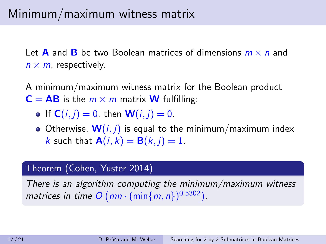Let **A** and **B** be two Boolean matrices of dimensions  $m \times n$  and  $n \times m$ , respectively.

A minimum/maximum witness matrix for the Boolean product  $C = AB$  is the  $m \times m$  matrix **W** fulfilling:

- If  $C(i, j) = 0$ , then  $W(i, j) = 0$ .
- Otherwise,  $W(i, j)$  is equal to the minimum/maximum index k such that  $\mathbf{A}(i, k) = \mathbf{B}(k, i) = 1$ .

#### Theorem (Cohen, Yuster 2014)

There is an algorithm computing the minimum/maximum witness matrices in time  $O(mn \cdot (\min\{m, n\})^{0.5302})$ .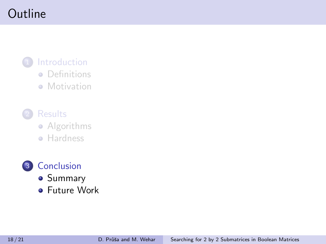# <span id="page-17-0"></span>Outline

## **[Introduction](#page-1-0)** • [Definitions](#page-2-0)

**• [Motivation](#page-4-0)** 

**[Results](#page-10-0) •** [Algorithms](#page-11-0)

**• [Hardness](#page-13-0)** 

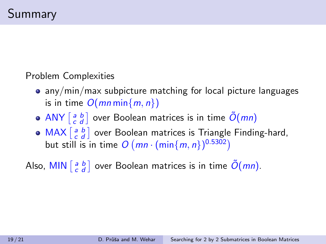<span id="page-18-0"></span>Problem Complexities

- any/min/max subpicture matching for local picture languages is in time  $O(mn \min\{m, n\})$
- ANY  $\left[ \begin{smallmatrix} a & b \ c & d \end{smallmatrix} \right]$  over Boolean matrices is in time  $\tilde{O}(mn)$
- $MAX \begin{bmatrix} a & b \\ c & d \end{bmatrix}$  over Boolean matrices is Triangle Finding-hard, but still is in time  $O(mn \cdot (min\{m, n\})^{0.5302})$

Also, MIN  $\left[ \begin{smallmatrix} a & b \ c & d \end{smallmatrix} \right]$  over Boolean matrices is in time  $\tilde{O}(mn).$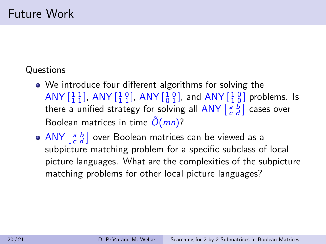## <span id="page-19-0"></span>Questions

- We introduce four different algorithms for solving the ANY  $\begin{bmatrix} 1 & 1 \ 1 & 1 \end{bmatrix}$ , ANY  $\begin{bmatrix} 1 & 0 \ 1 & 1 \end{bmatrix}$ , and ANY  $\begin{bmatrix} 1 & 0 \ 1 & 0 \end{bmatrix}$  problems. Is there a unified strategy for solving all ANY  $\left[ \begin{smallmatrix} a & b \ c & d \end{smallmatrix} \right]$  cases over Boolean matrices in time  $\tilde{O}(mn)$ ?
- $\overline{{\sf ANY}}\left[\begin{smallmatrix} a & b \ c & d \end{smallmatrix}\right]$  over Boolean matrices can be viewed as a subpicture matching problem for a specific subclass of local picture languages. What are the complexities of the subpicture matching problems for other local picture languages?